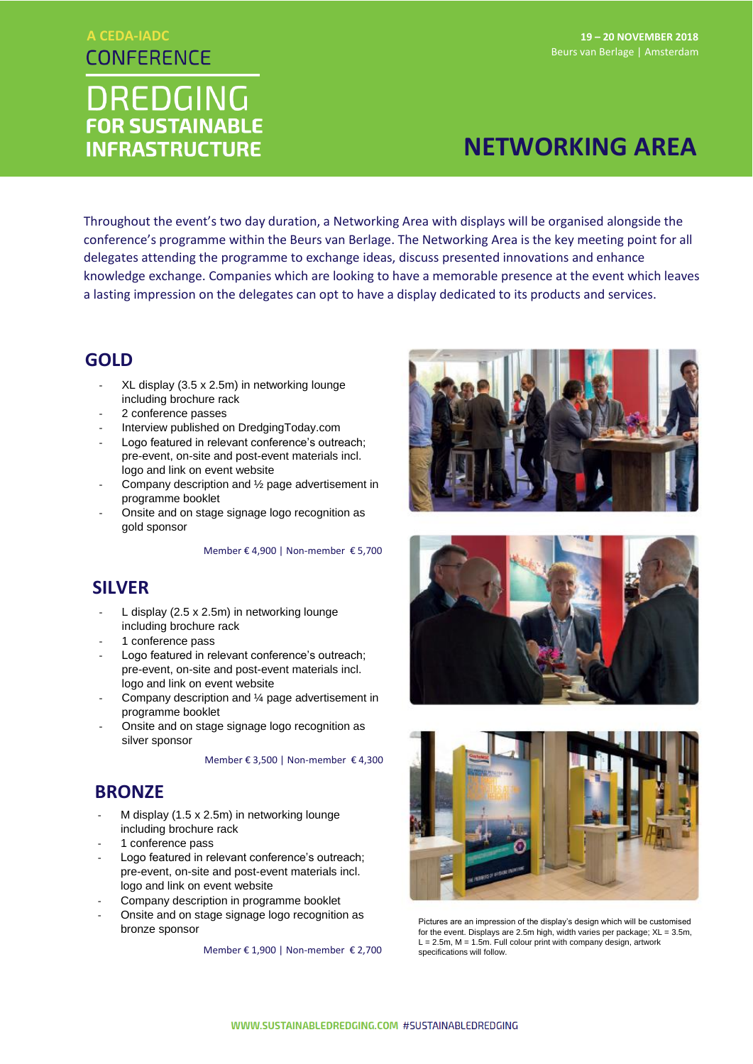## **A CEDA-IADCCONFERENCE**

# **DREDGING FOR SUSTAINABLE INFRASTRUCTURE**

#### **19 – 20 NOVEMBER 2018** Beurs van Berlage | Amsterdam

# **NETWORKING AREA**

Throughout the event's two day duration, a Networking Area with displays will be organised alongside the conference's programme within the Beurs van Berlage. The Networking Area is the key meeting point for all delegates attending the programme to exchange ideas, discuss presented innovations and enhance knowledge exchange. Companies which are looking to have a memorable presence at the event which leaves a lasting impression on the delegates can opt to have a display dedicated to its products and services.

## **GOLD**

- XL display (3.5 x 2.5m) in networking lounge including brochure rack
- 2 conference passes
- Interview published on DredgingToday.com
- Logo featured in relevant conference's outreach; pre-event, on-site and post-event materials incl. logo and link on event website
- Company description and 1/2 page advertisement in programme booklet
- Onsite and on stage signage logo recognition as gold sponsor

Member € 4,900 | Non-member € 5,700

## **SILVER**

- L display (2.5 x 2.5m) in networking lounge including brochure rack
- 1 conference pass
- Logo featured in relevant conference's outreach; pre-event, on-site and post-event materials incl. logo and link on event website
- Company description and 1/4 page advertisement in programme booklet
- Onsite and on stage signage logo recognition as silver sponsor

Member € 3,500 | Non-member € 4,300

#### **BRONZE**

- M display (1.5 x 2.5m) in networking lounge including brochure rack
- 1 conference pass
- Logo featured in relevant conference's outreach; pre-event, on-site and post-event materials incl. logo and link on event website
- Company description in programme booklet
- Onsite and on stage signage logo recognition as bronze sponsor

Member € 1,900 | Non-member € 2,700







Pictures are an impression of the display's design which will be customised for the event. Displays are 2.5m high, width varies per package; XL = 3.5m,  $L = 2.5m$ ,  $M = 1.5m$ . Full colour print with company design, artwork specifications will follow.